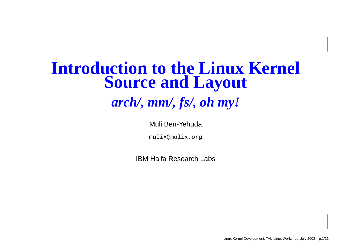#### **Introduction to the Linux Kernel Source and Layout**

*arch/, mm/, fs/, oh my!*

Muli Ben-Yehuda

mulix@mulix.org

IBM Haifa Research Labs

Linux Kernel Development, TAU Linux Workshop, July 2003 – p.1/11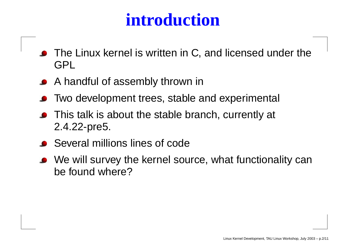# **introduction**

- The Linux kernel is written in C, and licensed under the GPL
- A handful of assembly thrown in
- Two development trees, stable and experimental
- This talk is about the stable branch, currently at 2.4.22-pre5.
- Several millions lines of code
- We will survey the kernel source, what functionality can be found where?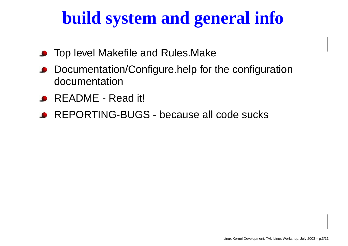# **build system and general info**

- Top level Makefile and Rules.Make
- Documentation/Configure.help for the configuration documentation
- README Read it!
- REPORTING-BUGS because all code sucks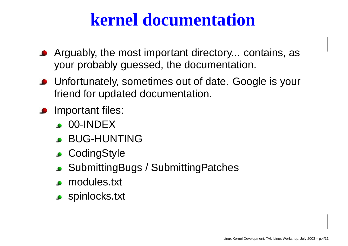## **kernel documentation**

- Arguably, the most important directory... contains, as your probably guessed, the documentation.
- Unfortunately, sometimes out of date. Google is your friend for updated documentation.
- Important files:
	- **C** 00-INDEX
	- BUG-HUNTING
	- CodingStyle
	- SubmittingBugs / SubmittingPatches
	- modules.txt
	- **spinlocks.txt**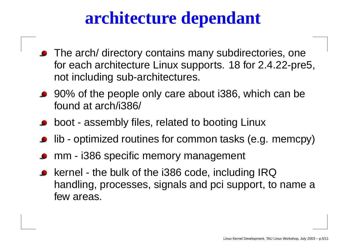# **architecture dependant**

- The arch/ directory contains many subdirectories, one for each architecture Linux supports. 18 for 2.4.22-pre5, not including sub-architectures.
- 90% of the people only care about i386, which can be found at arch/i386/
- boot assembly files, related to booting Linux
- lib optimized routines for common tasks (e.g. memcpy)
- mm i386 specific memory management
- kernel the bulk of the i386 code, including IRQ handling, processes, signals and pci support, to name <sup>a</sup> few areas.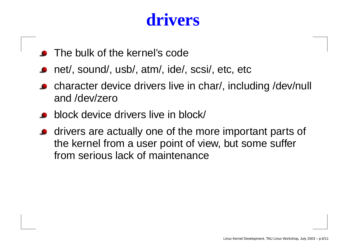### **drivers**

- The bulk of the kernel's code
- net/, sound/, usb/, atm/, ide/, scsi/, etc, etc
- character device drivers live in char/, including /dev/null and /dev/zero
- block device drivers live in block/
- drivers are actually one of the more important parts of the kernel from <sup>a</sup> user point of view, but some suffer from serious lack of maintenance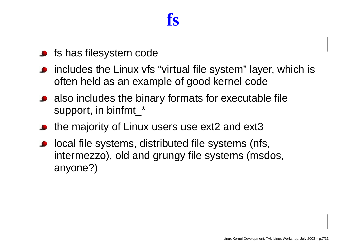#### **fs**

- fs has filesystem code
- includes the Linux vfs "virtual file system" layer, which is often held as an example of good kernel code
- also includes the binary formats for executable file support, in binfmt\_\*
- the majority of Linux users use ext2 and ext3
- local file systems, distributed file systems (nfs, intermezzo), old and grungy file systems (msdos, anyone?)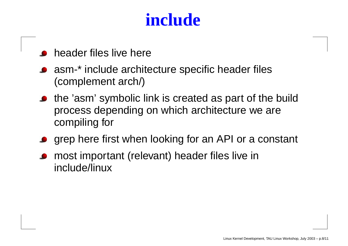# **include**

- header files live here
- asm-\* include architecture specific header files (complement arch/)
- the 'asm' symbolic link is created as part of the build process depending on which architecture we are compiling for
- grep here first when looking for an API or <sup>a</sup> constant
- most important (relevant) header files live in include/linux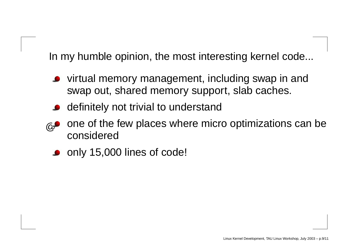In my humble opinion, the most interesting kernel code...

- virtual memory management, including swap in and swap out, shared memory support, slab caches.
- definitely not trivial to understand
- $@$ one of the few places where micro optimizations can be considered
	- only 15,000 lines of code!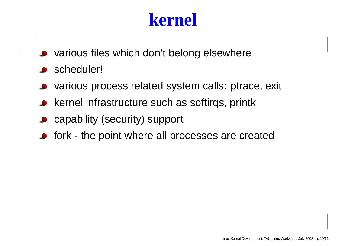### **kernel**

- various files which don't belong elsewhere
- scheduler!
- various process related system calls: ptrace, exit
- kernel infrastructure such as softirqs, printk
- capability (security) support
- fork the point where all processes are created